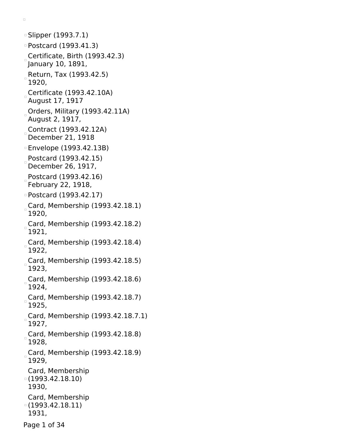Slipper (1993.7.1) Postcard (1993.41.3) Certificate, Birth (1993.42.3) January 10, 1891, Return, Tax  $(1993.42.5)$ 1920, Certificate (1993.42.10A) August 17, 1917 Orders, Military (1993.42.11A) August 2, 1917, Contract (1993.42.12A) December 21, 1918 Envelope (1993.42.13B) Postcard (1993.42.15) December 26, 1917, Postcard (1993.42.16) February 22, 1918, Postcard (1993.42.17) Card, Membership (1993.42.18.1) 1920, Card, Membership (1993.42.18.2) 1921, Card, Membership (1993.42.18.4) 1922, Card, Membership (1993.42.18.5) 1923, Card, Membership  $(1993.42.18.6)$ 1924, Card, Membership (1993.42.18.7) 1925, Card, Membership (1993.42.18.7.1) 1927, Card, Membership (1993.42.18.8) 1928, Card, Membership (1993.42.18.9) 1929, Card, Membership (1993.42.18.10) 1930, Card, Membership (1993.42.18.11) 1931, Page 1 of 34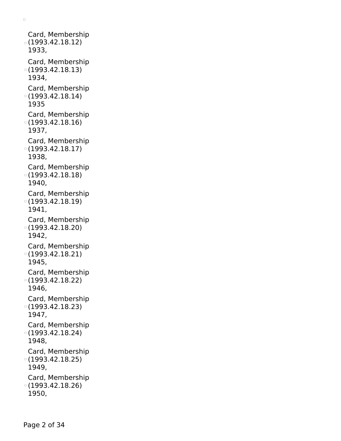Card, Membership (1993.42.18.12) 1933, Card, Membership (1993.42.18.13) 1934, Card, Membership (1993.42.18.14) 1935 Card, Membership (1993.42.18.16) 1937, Card, Membership (1993.42.18.17) 1938, Card, Membership (1993.42.18.18) 1940, Card, Membership (1993.42.18.19) 1941, Card, Membership (1993.42.18.20) 1942, Card, Membership (1993.42.18.21) 1945, Card, Membership (1993.42.18.22) 1946, Card, Membership (1993.42.18.23) 1947, Card, Membership (1993.42.18.24) 1948, Card, Membership (1993.42.18.25) 1949, Card, Membership (1993.42.18.26) 1950,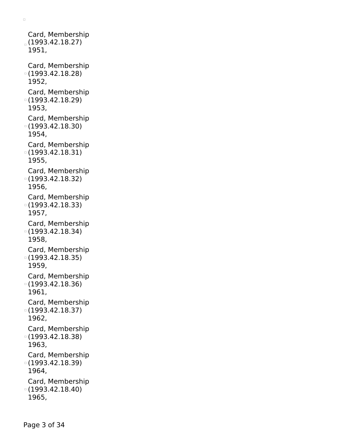Card, Membership  $(1993.42.18.27)$ 1951, Card, Membership (1993.42.18.28) 1952, Card, Membership (1993.42.18.29) 1953, Card, Membership (1993.42.18.30) 1954, Card, Membership (1993.42.18.31) 1955, Card, Membership (1993.42.18.32) 1956, Card, Membership (1993.42.18.33) 1957, Card, Membership (1993.42.18.34) 1958, Card, Membership (1993.42.18.35) 1959, Card, Membership (1993.42.18.36) 1961, Card, Membership (1993.42.18.37) 1962, Card, Membership (1993.42.18.38) 1963, Card, Membership (1993.42.18.39) 1964, Card, Membership (1993.42.18.40) 1965,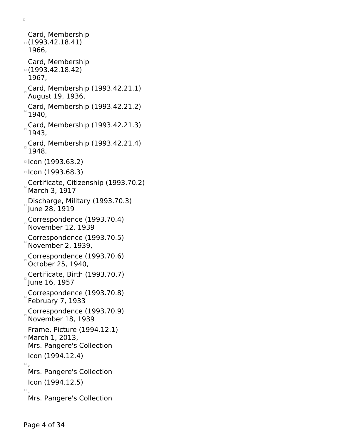```
Card, Membership
(1993.42.18.41)
 1966,
 Card, Membership
(1993.42.18.42)
 1967,
Card, Membership (1993.42.21.1)August 19, 1936,
Card, Membership (1993.42.21.2)
 1940,
Card, Membership (1993.42.21.3)
 1943,
Card, Membership (1993.42.21.4)
 1948,
\lceil Icon (1993.63.2)
\degreeIcon (1993.68.3)
Certificate, Citizenship (1993.70.2)
 March 3, 1917
Discharge, Military (1993.70.3)
June 28, 1919
Correspondence (1993.70.4)
 November 12, 1939
Correspondence (1993.70.5)
November 2, 1939,
Correspondence (1993.70.6)
 October 25, 1940,
Certificate, Birth (1993.70.7)
June 16, 1957
Correspondence (1993.70.8)
February 7, 1933
Correspondence (1993.70.9)
November 18, 1939
 Frame, Picture (1994.12.1)
March 1, 2013,
 Mrs. Pangere's Collection
 Icon (1994.12.4)
\Box.
 Mrs. Pangere's Collection
 Icon (1994.12.5)
\Box.
 Mrs. Pangere's Collection
```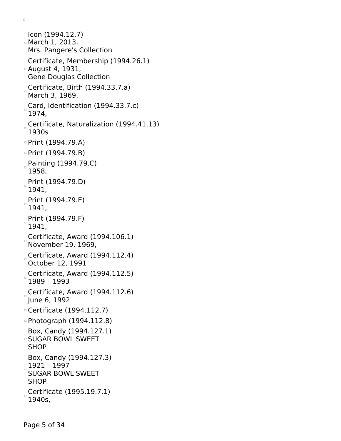```
Icon (1994.12.7)
March 1, 2013,
 Mrs. Pangere's Collection
 Certificate, Membership (1994.26.1)
August 4, 1931,
 Gene Douglas Collection
Certificate, Birth (1994.33.7.a)March 3, 1969,
Card, Identification (1994.33.7.c)
 1974,
Certificate, Naturalization (1994.41.13)
 1930s
\circ Print (1994.79.A)
Print (1994.79.B)
Painting (1994.79.C)
 1958,
Print (1994.79.D)
 1941,
Print (1994.79.E)
 1941,
Print (1994.79.F)
 1941,
Certificate, Award (1994.106.1)
 November 19, 1969,
Certificate, Award (1994.112.4)
 October 12, 1991
Certificate, Award (1994.112.5)
 1989 – 1993
Certificate, Award (1994.112.6)
June 6, 1992
Certificate (1994.112.7)
Photograph (1994.112.8)
 Box, Candy (1994.127.1)
SUGAR BOWL SWEET
 SHOP
 Box, Candy (1994.127.3)
 1921 – 1997
 SUGAR BOWL SWEET
 SHOP
Certificate (1995.19.7.1)
 1940s,
```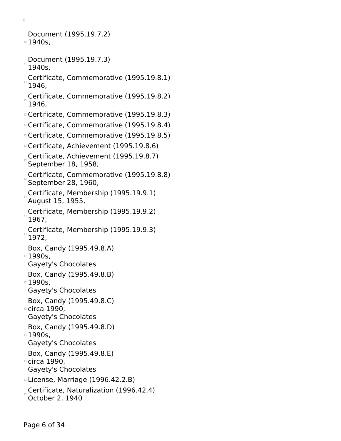Document (1995.19.7.2) 1940s,

- Document (1995.19.7.3) 1940s,
- Certificate, Commemorative (1995.19.8.1) 1946,
- Certificate, Commemorative (1995.19.8.2) 1946,
- Certificate, Commemorative (1995.19.8.3)
- Certificate, Commemorative (1995.19.8.4)
- Certificate, Commemorative (1995.19.8.5)
- Certificate, Achievement (1995.19.8.6)
- Certificate, Achievement (1995.19.8.7) September 18, 1958,
- Certificate, Commemorative (1995.19.8.8) September 28, 1960,
- Certificate, Membership (1995.19.9.1) August 15, 1955,
- Certificate, Membership (1995.19.9.2) 1967,
- Certificate, Membership (1995.19.9.3) 1972,
- Box, Candy (1995.49.8.A)
- $\overline{1990s}$ , Gayety's Chocolates
- 
- Box, Candy (1995.49.8.B)  $\overline{1990s}$ .
- Gayety's Chocolates
- Box, Candy (1995.49.8.C)
- circa 1990,
- Gayety's Chocolates
- Box, Candy (1995.49.8.D)
- $\overline{1}$  1990s,
	- Gayety's Chocolates
- Box, Candy (1995.49.8.E)
- circa 1990, Gayety's Chocolates
- License, Marriage (1996.42.2.B)
- Certificate, Naturalization (1996.42.4) October 2, 1940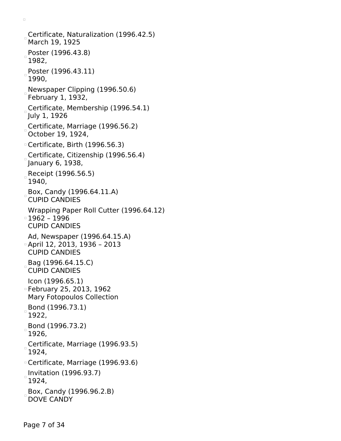Certificate, Naturalization (1996.42.5) March 19, 1925 Poster (1996.43.8) 1982, Poster (1996.43.11) 1990, Newspaper Clipping (1996.50.6) February 1, 1932, Certificate, Membership (1996.54.1) July 1, 1926 Certificate, Marriage (1996.56.2) October 19, 1924, Certificate, Birth (1996.56.3) Certificate, Citizenship (1996.56.4) January 6, 1938, Receipt (1996.56.5) 1940, Box, Candy (1996.64.11.A) CUPID CANDIES Wrapping Paper Roll Cutter (1996.64.12) 1962 – 1996 CUPID CANDIES Ad, Newspaper (1996.64.15.A) April 12, 2013, 1936 – 2013 CUPID CANDIES Bag (1996.64.15.C) CUPID CANDIES Icon (1996.65.1) February 25, 2013, 1962 Mary Fotopoulos Collection Bond (1996.73.1) 1922, Bond (1996.73.2) 1926, Certificate, Marriage (1996.93.5) 1924, Certificate, Marriage (1996.93.6)  $\overline{\phantom{a}}$ Invitation (1996.93.7) 1924, Box, Candy (1996.96.2.B) DOVE CANDY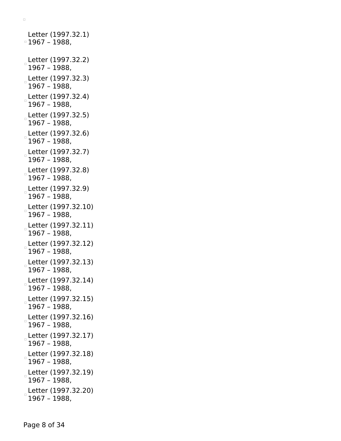```
Letter (1997.32.1)
\overline{0} 1967 – 1988,
Letter (1997.32.2)
 1967 – 1988,
Letter (1997.32.3)
 1967 – 1988,
Letter (1997.32.4)
 1967 – 1988,
Letter (1997.32.5)
 1967 – 1988,
Letter (1997.32.6)
 1967 – 1988,
Letter (1997.32.7)
1967 – 1988,
Letter (1997.32.8)
1967 – 1988,
Letter (1997.32.9)
 1967 – 1988,
Letter (1997.32.10)
 1967 – 1988,
Letter (1997.32.11)
 1967 – 1988,
Letter (1997.32.12)
 1967 – 1988,
Letter (1997.32.13)
 1967 – 1988,
Letter (1997.32.14)
 1967 – 1988,
Letter (1997.32.15)
1967 – 1988,
Letter (1997.32.16)
 1967 – 1988,
Letter (1997.32.17)
 1967 – 1988,
Letter (1997.32.18)
 1967 – 1988,
Letter (1997.32.19)
 1967 – 1988,
Letter (1997.32.20)
 1967 – 1988,
```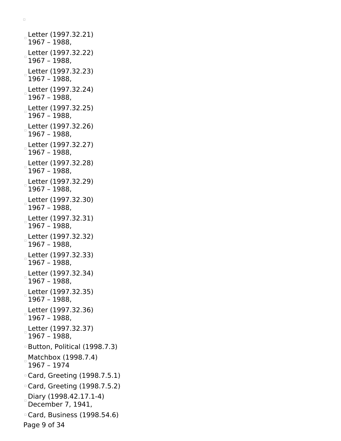Letter (1997.32.21) 1967 – 1988, Letter (1997.32.22) 1967 – 1988, Letter (1997.32.23) 1967 – 1988, Letter (1997.32.24) 1967 – 1988, Letter (1997.32.25) 1967 – 1988, Letter (1997.32.26) 1967 – 1988, Letter (1997.32.27) 1967 – 1988, Letter (1997.32.28) 1967 – 1988, Letter (1997.32.29) 1967 – 1988, Letter (1997.32.30) 1967 – 1988, Letter (1997.32.31) 1967 – 1988, Letter (1997.32.32) 1967 – 1988, Letter (1997.32.33) 1967 – 1988, Letter (1997.32.34) 1967 – 1988, Letter (1997.32.35) 1967 – 1988, Letter (1997.32.36) 1967 – 1988, Letter (1997.32.37) 1967 – 1988, Button, Political (1998.7.3) Matchbox (1998.7.4) 1967 – 1974 Card, Greeting (1998.7.5.1) Card, Greeting (1998.7.5.2) Diary (1998.42.17.1-4) December 7, 1941, Card, Business (1998.54.6) Page 9 of 34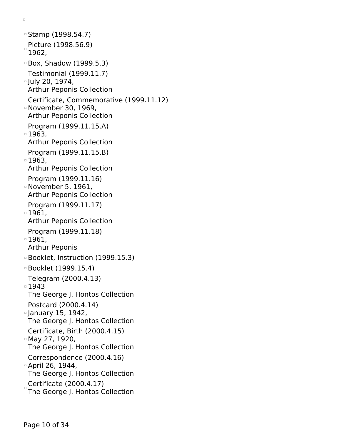Stamp (1998.54.7) Picture (1998.56.9) 1962, Box, Shadow (1999.5.3) Testimonial (1999.11.7) July 20, 1974, Arthur Peponis Collection Certificate, Commemorative (1999.11.12) November 30, 1969, Arthur Peponis Collection Program (1999.11.15.A) 1963, Arthur Peponis Collection Program (1999.11.15.B) □ 1963, Arthur Peponis Collection Program (1999.11.16) November 5, 1961, Arthur Peponis Collection Program (1999.11.17) 1961, Arthur Peponis Collection Program (1999.11.18) 1961, Arthur Peponis Booklet, Instruction (1999.15.3) Booklet (1999.15.4) Telegram (2000.4.13) ■1943 The George J. Hontos Collection Postcard (2000.4.14) **January 15, 1942,** The George J. Hontos Collection Certificate, Birth (2000.4.15) May 27, 1920, The George J. Hontos Collection Correspondence (2000.4.16) April 26, 1944, The George J. Hontos Collection Certificate (2000.4.17) The George J. Hontos Collection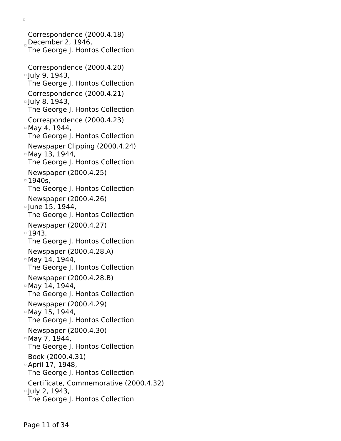Correspondence (2000.4.18) December 2,  $1946$ , The George J. Hontos Collection Correspondence (2000.4.20) <sup>o</sup> July 9, 1943, The George J. Hontos Collection Correspondence (2000.4.21)  $\degree$  July 8, 1943, The George J. Hontos Collection Correspondence (2000.4.23) May 4, 1944, The George J. Hontos Collection Newspaper Clipping (2000.4.24) May 13, 1944, The George J. Hontos Collection Newspaper (2000.4.25) 1940s, The George J. Hontos Collection Newspaper (2000.4.26) June 15, 1944, The George J. Hontos Collection Newspaper (2000.4.27) 1943, The George J. Hontos Collection Newspaper (2000.4.28.A) May 14, 1944, The George J. Hontos Collection Newspaper (2000.4.28.B) May 14, 1944, The George J. Hontos Collection Newspaper (2000.4.29) May 15, 1944, The George J. Hontos Collection Newspaper (2000.4.30) May 7, 1944, The George J. Hontos Collection Book (2000.4.31) April 17, 1948, The George J. Hontos Collection Certificate, Commemorative (2000.4.32) □ July 2, 1943, The George J. Hontos Collection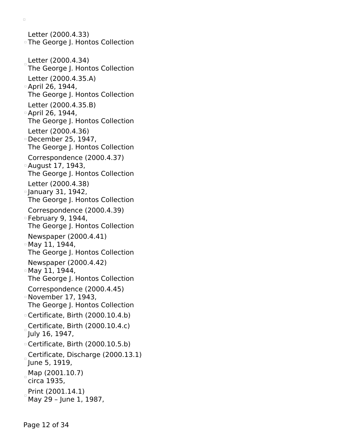Letter (2000.4.33) The George J. Hontos Collection Letter (2000.4.34) The George J. Hontos Collection Letter (2000.4.35.A) April 26, 1944, The George J. Hontos Collection Letter (2000.4.35.B) April 26, 1944, The George J. Hontos Collection Letter (2000.4.36) December 25, 1947, The George J. Hontos Collection Correspondence (2000.4.37) August 17, 1943, The George J. Hontos Collection Letter (2000.4.38) January 31, 1942, The George J. Hontos Collection Correspondence (2000.4.39) February 9, 1944, The George J. Hontos Collection Newspaper (2000.4.41) May 11, 1944, The George J. Hontos Collection Newspaper (2000.4.42) May 11, 1944, The George J. Hontos Collection Correspondence (2000.4.45) November 17, 1943, The George J. Hontos Collection Certificate, Birth (2000.10.4.b) Certificate, Birth (2000.10.4.c) July 16, 1947, Certificate, Birth (2000.10.5.b) Certificate, Discharge (2000.13.1) June 5, 1919, Map (2001.10.7) circa 1935, Print (2001.14.1) May 29 – June 1, 1987,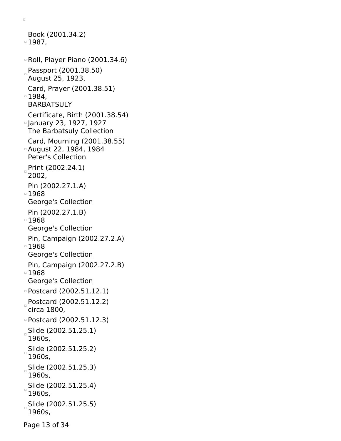```
Book (2001.34.2)
1987,
Roll, Player Piano (2001.34.6)
Passport (2001.38.50)
 August 25, 1923,
 Card, Prayer (2001.38.51)
1984,
 BARBATSULY
 Certificate, Birth (2001.38.54)
January 23, 1927, 1927
 The Barbatsuly Collection
 Card, Mourning (2001.38.55)
August 22, 1984, 1984
 Peter's Collection
Print (2002.24.1)
 2002,
 Pin (2002.27.1.A)
1968
 George's Collection
 Pin (2002.27.1.B)
■1968
 George's Collection
 Pin, Campaign (2002.27.2.A)
1968
 George's Collection
 Pin, Campaign (2002.27.2.B)
1968
 George's Collection
Postcard (2002.51.12.1)
Postcard (2002.51.12.2)
 circa 1800,
Postcard (2002.51.12.3)
 Slide (2002.51.25.1)
 1960s,
Slide (2002.51.25.2)
 1960s,
Slide (2002.51.25.3)
 1960s,
Slide (2002.51.25.4)
 1960s,
Slide (2002.51.25.5)
 1960s,
```
Page 13 of 34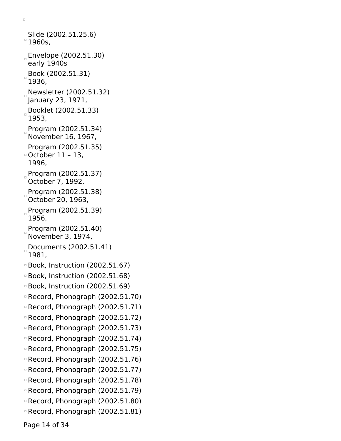```
Slide (2002.51.25.6)
^{\circ} 1960s,
Envelope (2002.51.30)
 early 1940s
Book (2002.51.31)
 1936,
Newsletter (2002.51.32)
January 23, 1971,
 Booklet (2002.51.33)
 1953,
 Program (2002.51.34)
 November 16, 1967,
 Program (2002.51.35)
October 11 – 13,
 1996,
Program (2002.51.37)
 October 7, 1992,
 Program (2002.51.38)
 October 20, 1963,
 Program (2002.51.39)
 1956,
 Program (2002.51.40)
 November 3, 1974,
Documents (2002.51.41)
 1981,
Book, Instruction (2002.51.67)
Book, Instruction (2002.51.68)
Book, Instruction (2002.51.69)
Record, Phonograph (2002.51.70)
Record, Phonograph (2002.51.71)
Record, Phonograph (2002.51.72)
Record, Phonograph (2002.51.73)
Record, Phonograph (2002.51.74)
Record, Phonograph (2002.51.75)
Record, Phonograph (2002.51.76)
Record, Phonograph (2002.51.77)
Record, Phonograph (2002.51.78)
Record, Phonograph (2002.51.79)
Record, Phonograph (2002.51.80)
Record, Phonograph (2002.51.81)
```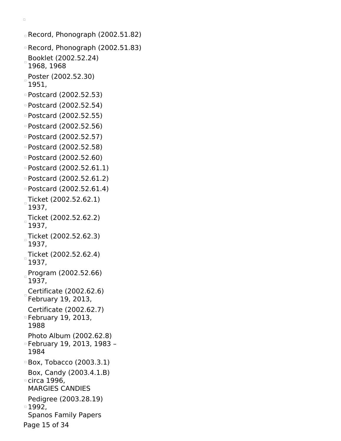```
Record, Phonograph (2002.51.82)
Record, Phonograph (2002.51.83)
 Booklet (2002.52.24)
 1968, 1968
Poster (2002.52.30)
 1951,
Postcard (2002.52.53)
Postcard (2002.52.54)
Postcard (2002.52.55)
Postcard (2002.52.56)
Postcard (2002.52.57)
Postcard (2002.52.58)
Postcard (2002.52.60)
Postcard (2002.52.61.1)
Postcard (2002.52.61.2)
Postcard (2002.52.61.4)
 Ticket (2002.52.62.1)
 1937,
 Ticket (2002.52.62.2)
 1937,
 Ticket (2002.52.62.3)
 1937,
Ticket (2002.52.62.4)
\Box1937,
 Program (2002.52.66)
 1937,
 Certificate (2002.62.6)
 February 19, 2013,
 Certificate (2002.62.7)
February 19, 2013,
 1988
 Photo Album (2002.62.8)
February 19, 2013, 1983 –
 1984
Box, Tobacco (2003.3.1)
 Box, Candy (2003.4.1.B)
circa 1996,
 MARGIES CANDIES
 Pedigree (2003.28.19)
1992,
 Spanos Family Papers
Page 15 of 34
```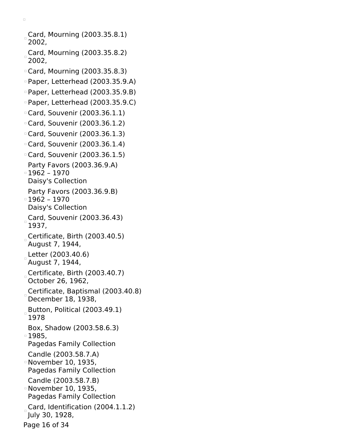Card, Mourning (2003.35.8.1) 2002, Card, Mourning (2003.35.8.2) 2002, Card, Mourning (2003.35.8.3) Paper, Letterhead (2003.35.9.A) Paper, Letterhead (2003.35.9.B) Paper, Letterhead (2003.35.9.C) Card, Souvenir (2003.36.1.1) Card, Souvenir (2003.36.1.2) Card, Souvenir (2003.36.1.3) Card, Souvenir (2003.36.1.4) Card, Souvenir (2003.36.1.5) Party Favors (2003.36.9.A) 1962 – 1970 Daisy's Collection Party Favors (2003.36.9.B)  $1962 - 1970$ Daisy's Collection Card, Souvenir (2003.36.43) 1937, Certificate, Birth (2003.40.5) August 7, 1944, Letter (2003.40.6) August 7, 1944, Certificate, Birth (2003.40.7) October 26, 1962, Certificate, Baptismal (2003.40.8) December 18, 1938, Button, Political (2003.49.1) 1978 Box, Shadow (2003.58.6.3) 1985, Pagedas Family Collection Candle (2003.58.7.A) November 10, 1935, Pagedas Family Collection Candle (2003.58.7.B) November 10, 1935, Pagedas Family Collection Card, Identification (2004.1.1.2) July 30, 1928, Page 16 of 34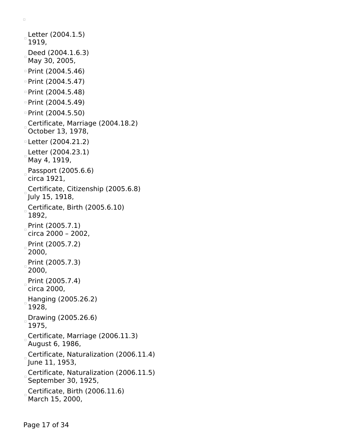```
Letter (2004.1.5)
 1919,
Deed (2004.1.6.3)
 May 30, 2005,
D Print (2004.5.46)
\degree Print (2004.5.47)
\degree Print (2004.5.48)
Print (2004.5.49)
Print (2004.5.50)
Certificate, Marriage (2004.18.2)
 October 13, 1978,
Letter (2004.21.2)
Letter (2004.23.1)
 May 4, 1919,
Passport (2005.6.6)
 circa 1921,
Certificate, Citizenship (2005.6.8)
 July 15, 1918,
Certificate, Birth (2005.6.10)
 1892,
Print (2005.7.1)
 circa 2000 – 2002,
 Print (2005.7.2)
 2000,
 Print (2005.7.3)
 2000,
Print (2005.7.4)
 circa 2000,
Hanging (2005.26.2)1928,
 Drawing (2005.26.6)
 1975,
Certificate, Marriage (2006.11.3)
 August 6, 1986,
Certificate, Naturalization (2006.11.4)
 June 11, 1953,
Certificate, Naturalization (2006.11.5)
 September 30, 1925,
 Certificate, Birth (2006.11.6)
 March 15, 2000,
```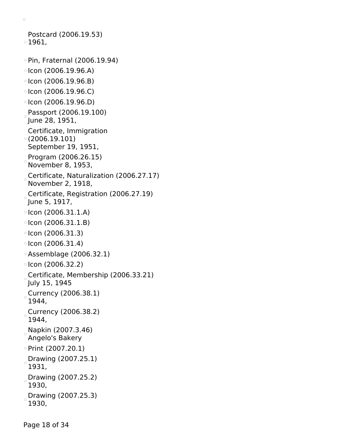```
Postcard (2006.19.53)
1961,
Pin, Fraternal (2006.19.94)
\blacksquare Icon (2006.19.96.A)
\circ Icon (2006.19.96.B)
\lceil Icon (2006.19.96.C)
\lceil Icon (2006.19.96.D)
Passport (2006.19.100)
 June 28, 1951,
 Certificate, Immigration
(2006.19.101)
 September 19, 1951,
Program (2006.26.15)
 November 8, 1953,
 Certificate, Naturalization (2006.27.17)
 November 2, 1918,
Certificate, Registration (2006.27.19)
 June 5, 1917,
D =Icon (2006.31.1.A)
\lceil Icon (2006.31.1.B)
\blacksquare Icon (2006.31.3)
\degreeIcon (2006.31.4)
Assemblage (2006.32.1)
\degreeIcon (2006.32.2)
Certificate, Membership (2006.33.21)
 July 15, 1945
 Currency (2006.38.1)
 1944,
 Currency (2006.38.2)
 1944,
Napkin (2007.3.46)
 Angelo's Bakery
\degree Print (2007.20.1)
Drawing (2007.25.1)
 1931,
 Drawing (2007.25.2)
 1930,
 Drawing (2007.25.3)
\Box1930,
```
Page 18 of 34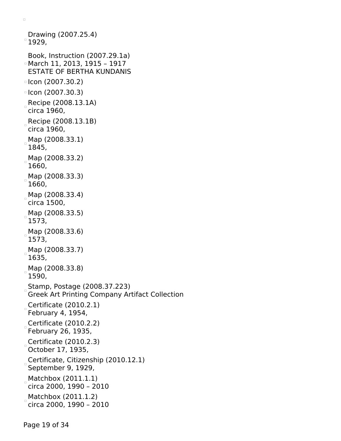```
Drawing (2007.25.4)
^{\circ} 1929,
 Book, Instruction (2007.29.1a)
March 11, 2013, 1915 – 1917
 ESTATE OF BERTHA KUNDANIS
\degreeIcon (2007.30.2)
\degreeIcon (2007.30.3)
Recipe (2008.13.1A)
 circa 1960,
Recipe (2008.13.1B)
 circa 1960,
 Map (2008.33.1)
 1845,
 Map (2008.33.2)
 1660,
 Map (2008.33.3)
 1660,
_{\circ} Map (2008.33.4)
 circa 1500,
 Map (2008.33.5)
 1573,
 Map (2008.33.6)
\Box1573,
 Map (2008.33.7)
 1635,
 Map (2008.33.8)
 1590,
 Stamp, Postage (2008.37.223)
 Greek Art Printing Company Artifact Collection
 Certificate (2010.2.1)
 February 4, 1954,
 Certificate (2010.2.2)
 February 26, 1935,
 Certificate (2010.2.3)
 October 17, 1935,
 Certificate, Citizenship (2010.12.1)
\BoxSeptember 9, 1929,
Matchbox (2011.1.1)
 circa 2000, 1990 – 2010
Matchbox (2011.1.2)circa 2000, 1990 – 2010
```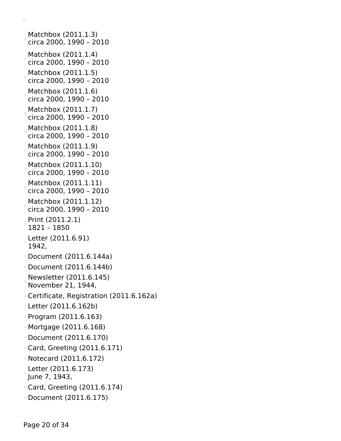Matchbox (2011.1.3)  $\degree$ circa 2000, 1990 - 2010 Matchbox (2011.1.4) circa 2000, 1990 – 2010  $Matchbox (2011.1.5)$ circa 2000, 1990 – 2010 Matchbox (2011.1.6) circa 2000, 1990 – 2010 Matchbox (2011.1.7) circa 2000, 1990 – 2010  $M$ atchbox (2011.1.8) circa 2000, 1990 – 2010 Matchbox (2011.1.9) circa 2000, 1990 – 2010 Matchbox (2011.1.10) circa 2000, 1990 – 2010 Matchbox (2011.1.11) circa 2000, 1990 – 2010 Matchbox (2011.1.12) circa 2000, 1990 – 2010 Print (2011.2.1) 1821 – 1850 Letter (2011.6.91) 1942, Document (2011.6.144a) Document (2011.6.144b) Newsletter (2011.6.145) November 21, 1944, Certificate, Registration (2011.6.162a) Letter (2011.6.162b) Program (2011.6.163) Mortgage (2011.6.168) Document (2011.6.170) Card, Greeting (2011.6.171) Notecard (2011.6.172) Letter (2011.6.173) June 7, 1943, Card, Greeting (2011.6.174) Document (2011.6.175)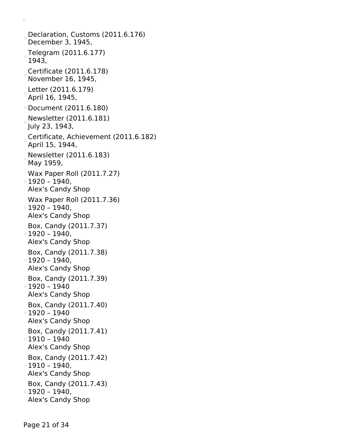Declaration, Customs (2011.6.176) December 3, 1945, Telegram (2011.6.177) 1943, Certificate (2011.6.178) November 16, 1945, Letter (2011.6.179) April 16, 1945, Document (2011.6.180) Newsletter (2011.6.181) July 23, 1943, Certificate, Achievement (2011.6.182) April 15, 1944, Newsletter (2011.6.183) May 1959, Wax Paper Roll (2011.7.27) 1920 – 1940, Alex's Candy Shop Wax Paper Roll (2011.7.36)  $\circ$  1920 – 1940, Alex's Candy Shop Box, Candy (2011.7.37)  $\circ$  1920 – 1940, Alex's Candy Shop Box, Candy (2011.7.38) 1920 – 1940, Alex's Candy Shop Box, Candy (2011.7.39) 1920 – 1940 Alex's Candy Shop Box, Candy (2011.7.40) 1920 – 1940 Alex's Candy Shop Box, Candy (2011.7.41)  $\circ$  1910 – 1940 Alex's Candy Shop Box, Candy (2011.7.42) 1910 – 1940, Alex's Candy Shop Box, Candy (2011.7.43)  $0 - 1940,$ Alex's Candy Shop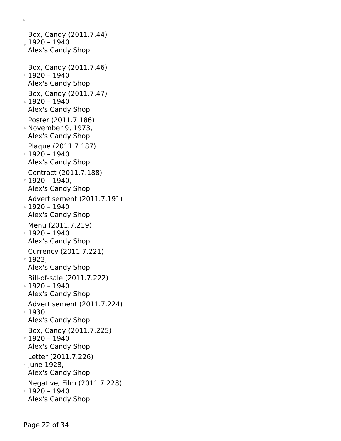Box, Candy (2011.7.44)  $1920 - 1940$ Alex's Candy Shop Box, Candy (2011.7.46) 1920 – 1940 Alex's Candy Shop Box, Candy (2011.7.47) 1920 – 1940 Alex's Candy Shop Poster (2011.7.186) November 9, 1973, Alex's Candy Shop Plaque (2011.7.187)  $1920 - 1940$ Alex's Candy Shop Contract (2011.7.188)  $= 1920 - 1940,$ Alex's Candy Shop Advertisement (2011.7.191) 1920 – 1940 Alex's Candy Shop Menu (2011.7.219)  $\overline{0}$  1920 – 1940 Alex's Candy Shop Currency (2011.7.221) 1923, Alex's Candy Shop Bill-of-sale (2011.7.222)  $1920 - 1940$ Alex's Candy Shop Advertisement (2011.7.224) 1930, Alex's Candy Shop Box, Candy (2011.7.225) 1920 – 1940 Alex's Candy Shop Letter (2011.7.226) June 1928, Alex's Candy Shop Negative, Film (2011.7.228) 1920 – 1940 Alex's Candy Shop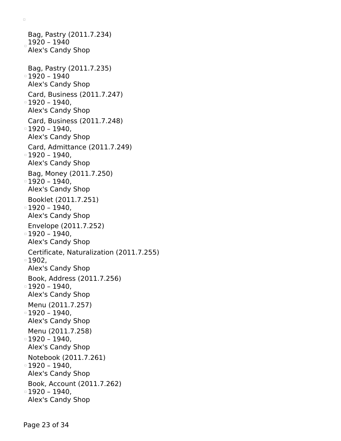Bag, Pastry (2011.7.234)  $_{\circ}$  1920 - 1940 Alex's Candy Shop Bag, Pastry (2011.7.235) 1920 – 1940 Alex's Candy Shop Card, Business (2011.7.247) 1920 – 1940, Alex's Candy Shop Card, Business (2011.7.248) 1920 – 1940, Alex's Candy Shop Card, Admittance (2011.7.249)  $\circ$  1920 – 1940, Alex's Candy Shop Bag, Money (2011.7.250) 1920 – 1940, Alex's Candy Shop Booklet (2011.7.251)  $\circ$  1920 – 1940, Alex's Candy Shop Envelope (2011.7.252)  $\circ$  1920 – 1940, Alex's Candy Shop Certificate, Naturalization (2011.7.255) 1902, Alex's Candy Shop Book, Address (2011.7.256)  $\,\circ$  1920 – 1940, Alex's Candy Shop Menu (2011.7.257)  $\,\circ$  1920 – 1940, Alex's Candy Shop Menu (2011.7.258)  $\,\circ$  1920 – 1940, Alex's Candy Shop Notebook (2011.7.261)  $\,\circ$  1920 – 1940, Alex's Candy Shop Book, Account (2011.7.262) 1920 – 1940, Alex's Candy Shop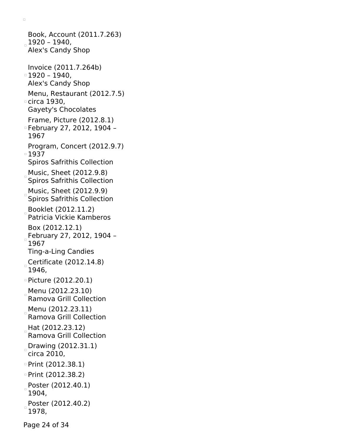Book, Account (2011.7.263) 1920 – 1940, Alex's Candy Shop Invoice (2011.7.264b)  $\,\circ$  1920 – 1940, Alex's Candy Shop Menu, Restaurant (2012.7.5) circa 1930, Gayety's Chocolates Frame, Picture (2012.8.1) February 27, 2012, 1904 – 1967 Program, Concert (2012.9.7) ■1937 Spiros Safrithis Collection Music, Sheet (2012.9.8) Spiros Safrithis Collection Music, Sheet (2012.9.9) Spiros Safrithis Collection Booklet (2012.11.2) Patricia Vickie Kamberos Box (2012.12.1) February 27, 2012, 1904 – 1967 Ting-a-Ling Candies Certificate  $(2012.14.8)$ 1946, Picture (2012.20.1) Menu (2012.23.10) Ramova Grill Collection Menu (2012.23.11) Ramova Grill Collection Hat (2012.23.12) Ramova Grill Collection Drawing (2012.31.1) circa 2010, Print (2012.38.1) Print (2012.38.2) Poster (2012.40.1) 1904, Poster (2012.40.2) 1978,

 $\Box$ 

Page 24 of 34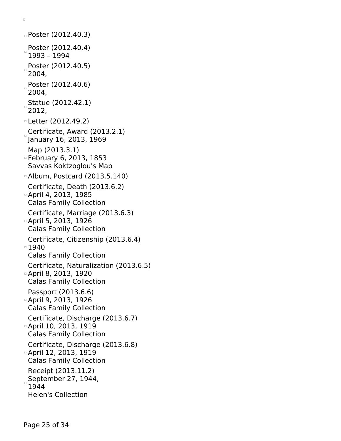Poster (2012.40.3) Poster (2012.40.4) 1993 – 1994 Poster (2012.40.5)  $2004,$ Poster (2012.40.6) 2004, Statue (2012.42.1) 2012, Letter (2012.49.2) Certificate, Award (2013.2.1) January 16, 2013, 1969 Map (2013.3.1) February 6, 2013, 1853 Savvas Koktzoglou's Map Album, Postcard (2013.5.140) Certificate, Death (2013.6.2) April 4, 2013, 1985 Calas Family Collection Certificate, Marriage (2013.6.3) April 5, 2013, 1926 Calas Family Collection Certificate, Citizenship (2013.6.4) 1940 Calas Family Collection Certificate, Naturalization (2013.6.5) April 8, 2013, 1920 Calas Family Collection Passport (2013.6.6) April 9, 2013, 1926 Calas Family Collection Certificate, Discharge (2013.6.7) April 10, 2013, 1919 Calas Family Collection Certificate, Discharge (2013.6.8) April 12, 2013, 1919 Calas Family Collection Receipt (2013.11.2) September 27, 1944, 1944 Helen's Collection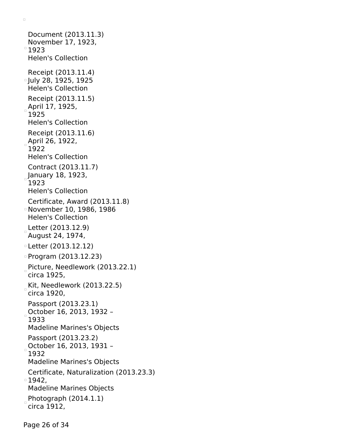```
Document (2013.11.3)
 November 17, 1923,
^{\circ}1923
 Helen's Collection
 Receipt (2013.11.4)
July 28, 1925, 1925
 Helen's Collection
 Receipt (2013.11.5)
April 17, 1925,
 1925
 Helen's Collection
 Receipt (2013.11.6)
April 26, 1922,
 1922
 Helen's Collection
 Contract (2013.11.7)
_{\circ}January 18, 1923,
 1923
 Helen's Collection
 Certificate, Award (2013.11.8)
November 10, 1986, 1986
 Helen's Collection
Letter (2013.12.9)
August 24, 1974,
Letter (2013.12.12)
Program (2013.12.23)
Picture, Needlework (2013.22.1)
circa 1925,
Kit, Needlework (2013.22.5)
circa 1920,
 Passport (2013.23.1)
October 16, 2013, 1932 –
 1933
 Madeline Marines's Objects
 Passport (2013.23.2)
October 16, 2013, 1931 -
 1932
 Madeline Marines's Objects
 Certificate, Naturalization (2013.23.3)
1942,
 Madeline Marines Objects
Photograph (2014.1.1)circa 1912,
```
Page 26 of 34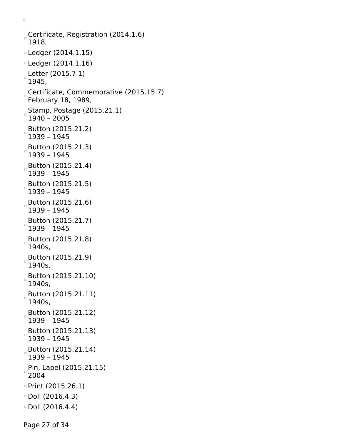```
Certificate, Registration (2014.1.6)
 1918,
Ledger (2014.1.15)
Ledger (2014.1.16)
Letter (2015.7.1)
 1945,
Certificate, Commemorative (2015.15.7)
February 18, 1989,
 Stamp, Postage (2015.21.1)
 1940 – 2005
Button (2015.21.2)
 1939 – 1945
Button (2015.21.3)
 1939 – 1945
Button (2015.21.4)
 1939 – 1945
Button (2015.21.5)
 1939 – 1945
Button (2015.21.6)
 1939 – 1945
Button (2015.21.7)
 1939 – 1945
Button (2015.21.8)
 1940s,
Button (2015.21.9)
 1940s,
Button (2015.21.10)
 1940s,
Button (2015.21.11)
 1940s,
Button (2015.21.12)
 1939 – 1945
Button (2015.21.13)
\Box1939 – 1945
Button (2015.21.14)
 1939 – 1945
Pin, Lapel (2015.21.15)
 2004
Print (2015.26.1)
Doll (2016.4.3)
Doll (2016.4.4)
```
Page 27 of 34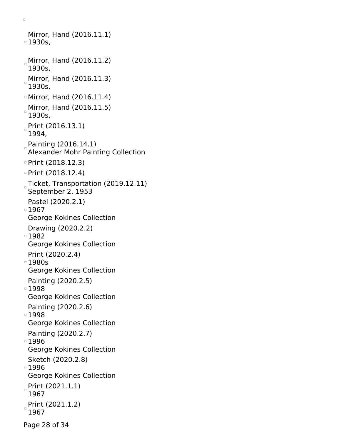Mirror, Hand (2016.11.1) 1930s,  $<sub>a</sub>$  Mirror, Hand (2016.11.2)</sub> 1930s, Mirror, Hand (2016.11.3) 1930s, Mirror, Hand (2016.11.4) Mirror, Hand (2016.11.5) 1930s, Print (2016.13.1) 1994, Painting (2016.14.1) Alexander Mohr Painting Collection Print (2018.12.3) Print (2018.12.4) Ticket, Transportation (2019.12.11) September 2, 1953 Pastel (2020.2.1) ■1967 George Kokines Collection Drawing (2020.2.2) 1982 George Kokines Collection Print (2020.2.4) 1980s George Kokines Collection Painting (2020.2.5) 1998 George Kokines Collection Painting (2020.2.6) ■1998 George Kokines Collection Painting (2020.2.7) 1996 George Kokines Collection Sketch (2020.2.8) 1996 George Kokines Collection Print (2021.1.1) 1967 Print (2021.1.2) 1967

 $\Box$ 

Page 28 of 34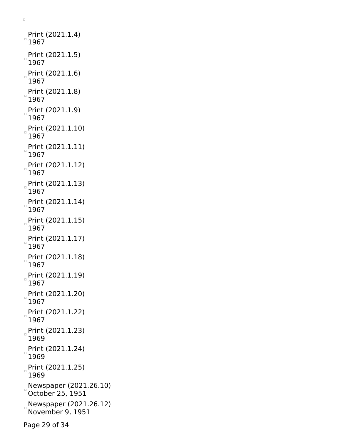```
Print (2021.1.4)
^{\circ} 1967
Print (2021.1.5)
 1967
Print (2021.1.6)
 1967
Print (2021.1.8)
 1967
Print (2021.1.9)
 1967
Print (2021.1.10)
 1967
Print (2021.1.11)
 1967
Print (2021.1.12)
 1967
Print (2021.1.13)
 1967
Print (2021.1.14)
 1967
Print (2021.1.15)
 1967
Print (2021.1.17)
 1967
Print (2021.1.18)
 1967
Print (2021.1.19)
 1967
Print (2021.1.20)
 1967
Print (2021.1.22)
 1967
 Print (2021.1.23)
\Box1969
Print (2021.1.24)
 1969
Print (2021.1.25)
 1969
Newspaper (2021.26.10)
 October 25, 1951
Newspaper (2021.26.12)
 November 9, 1951
```
Page 29 of 34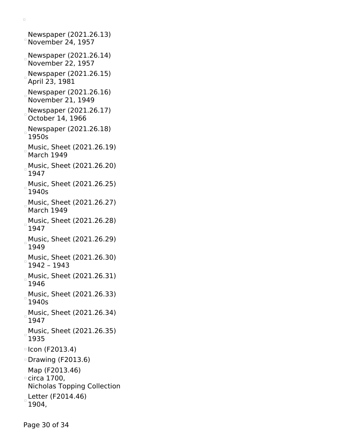Newspaper (2021.26.13)  $°$  November 24, 1957 Newspaper (2021.26.14) November 22, 1957 Newspaper (2021.26.15) April 23, 1981 Newspaper (2021.26.16) November 21, 1949 Newspaper (2021.26.17) October 14, 1966 Newspaper (2021.26.18) 1950s Music, Sheet (2021.26.19) March 1949 Music, Sheet (2021.26.20) 1947 Music, Sheet (2021.26.25) 1940s Music, Sheet (2021.26.27) March 1949 Music, Sheet (2021.26.28) 1947 Music, Sheet (2021.26.29) 1949 Music, Sheet (2021.26.30) 1942 – 1943 Music, Sheet (2021.26.31) 1946 Music, Sheet (2021.26.33) 1940s Music, Sheet (2021.26.34) 1947 Music, Sheet (2021.26.35) 1935  $\circ$  Icon (F2013.4) Drawing (F2013.6) Map (F2013.46) circa 1700, Nicholas Topping Collection Letter (F2014.46) 1904,

 $\Box$ 

Page 30 of 34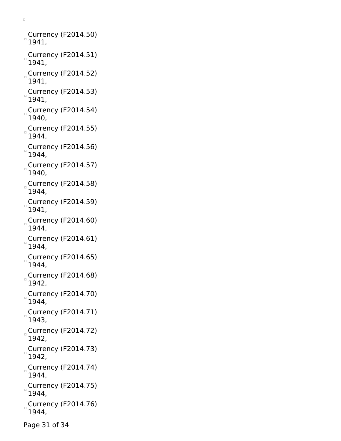Currency (F2014.50)  $^{\circ}$  1941, Currency (F2014.51) 1941, Currency (F2014.52) 1941, Currency (F2014.53)  $\Box$ 1941, Currency (F2014.54) 1940, Currency (F2014.55) 1944, Currency (F2014.56) 1944, Currency (F2014.57) 1940, Currency (F2014.58) 1944, Currency (F2014.59) 1941, Currency (F2014.60) 1944,  $^{\circ}$ Currency (F2014.61) 1944, Currency (F2014.65) 1944, Currency (F2014.68) 1942, Currency (F2014.70) 1944, Currency (F2014.71)  $\Box$ 1943, Currency (F2014.72)  $\begin{array}{c} \square \end{array}$ 1942, Currency (F2014.73) 1942, Currency (F2014.74) 1944, Currency (F2014.75) 1944, Currency (F2014.76) 1944,

 $\Box$ 

Page 31 of 34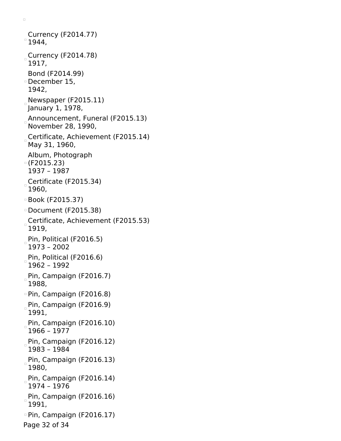Currency (F2014.77)  $^{\circ}$  1944, Currency (F2014.78) 1917, Bond (F2014.99) December 15, 1942, Newspaper (F2015.11) January 1, 1978, Announcement, Funeral (F2015.13) November 28, 1990, Certificate, Achievement (F2015.14) May 31, 1960, Album, Photograph (F2015.23) 1937 – 1987 Certificate (F2015.34) 1960, Book (F2015.37) Document (F2015.38) Certificate, Achievement (F2015.53)  $\Box$ 1919, Pin, Political (F2016.5) 1973 – 2002 Pin, Political (F2016.6) 1962 – 1992 Pin, Campaign (F2016.7) 1988, Pin, Campaign (F2016.8) Pin, Campaign (F2016.9) 1991, Pin, Campaign (F2016.10) 1966 – 1977 Pin, Campaign (F2016.12) 1983 – 1984 Pin, Campaign (F2016.13) 1980, Pin, Campaign (F2016.14) 1974 – 1976 Pin, Campaign (F2016.16) 1991, Pin, Campaign (F2016.17) Page 32 of 34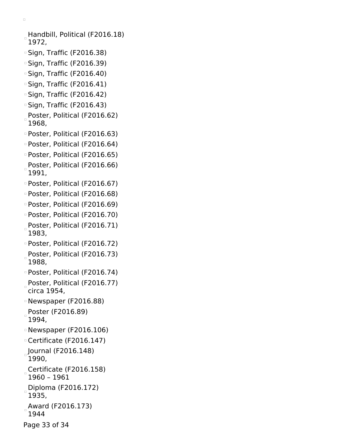Handbill, Political (F2016.18) 1972,

- Sign, Traffic (F2016.38)
- □ Sign, Traffic (F2016.39)
- Sign, Traffic (F2016.40)
- Sign, Traffic (F2016.41)
- Sign, Traffic (F2016.42)
- Sign, Traffic (F2016.43)
- Poster, Political (F2016.62) 1968,
- Poster, Political (F2016.63)
- Poster, Political (F2016.64)
- Poster, Political (F2016.65)
- Poster, Political (F2016.66) 1991,
- Poster, Political (F2016.67)
- Poster, Political (F2016.68)
- Poster, Political (F2016.69)
- Poster, Political (F2016.70) Poster, Political (F2016.71)
- 1983,
- Poster, Political (F2016.72) Poster, Political (F2016.73)
- $\Box$ 1988,
- Poster, Political (F2016.74)
- Poster, Political (F2016.77) circa 1954,
- Newspaper (F2016.88)
- Poster (F2016.89) 1994,
- Newspaper (F2016.106)
- Certificate (F2016.147)
- Journal (F2016.148) 1990,
- Certificate (F2016.158) 1960 – 1961
- Diploma (F2016.172) 1935,
- Award (F2016.173) 1944
- Page 33 of 34